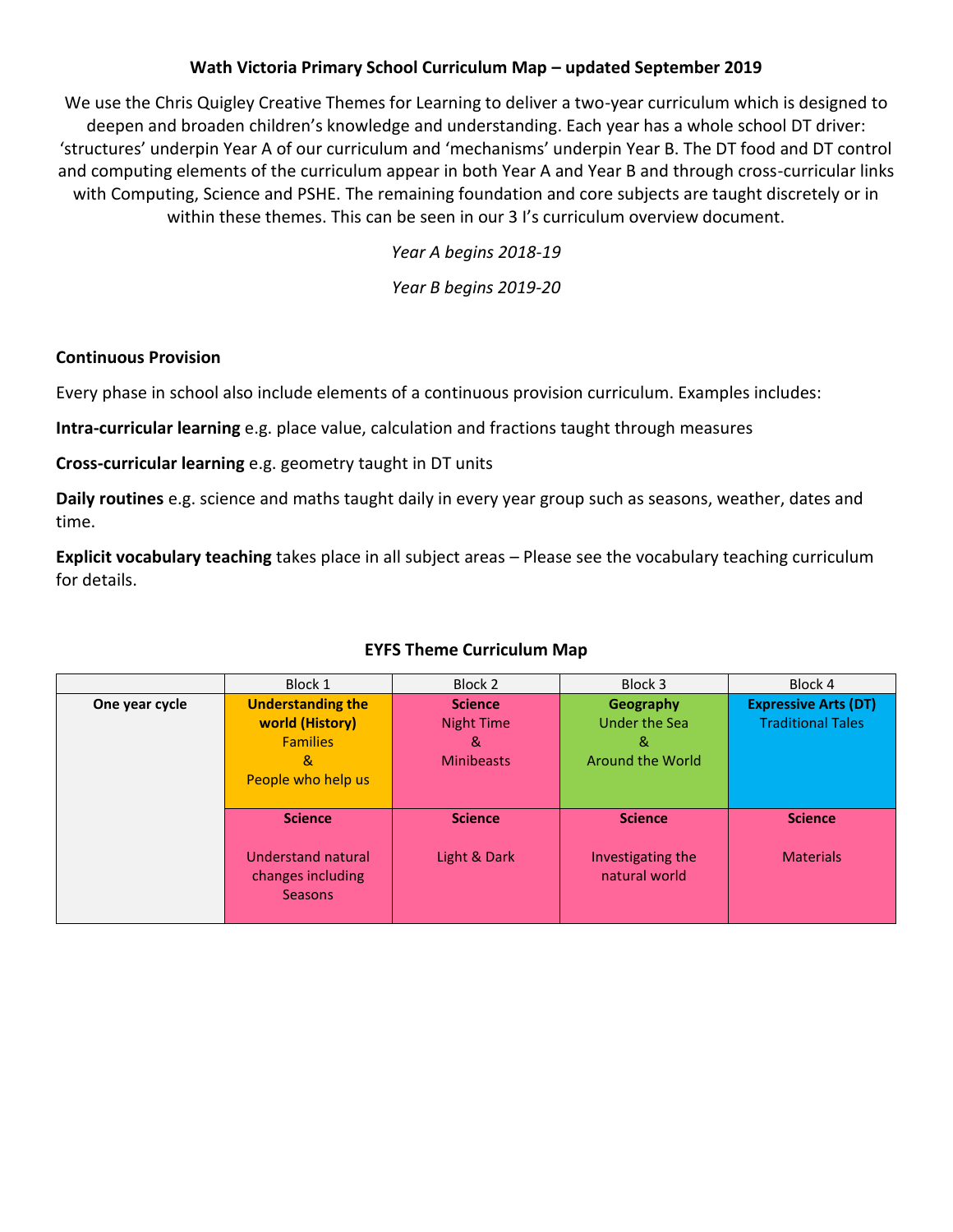### **Wath Victoria Primary School Curriculum Map – updated September 2019**

We use the Chris Quigley Creative Themes for Learning to deliver a two-year curriculum which is designed to deepen and broaden children's knowledge and understanding. Each year has a whole school DT driver: 'structures' underpin Year A of our curriculum and 'mechanisms' underpin Year B. The DT food and DT control and computing elements of the curriculum appear in both Year A and Year B and through cross-curricular links with Computing, Science and PSHE. The remaining foundation and core subjects are taught discretely or in within these themes. This can be seen in our 3 I's curriculum overview document.

*Year A begins 2018-19*

*Year B begins 2019-20*

#### **Continuous Provision**

Every phase in school also include elements of a continuous provision curriculum. Examples includes:

**Intra-curricular learning** e.g. place value, calculation and fractions taught through measures

**Cross-curricular learning** e.g. geometry taught in DT units

**Daily routines** e.g. science and maths taught daily in every year group such as seasons, weather, dates and time.

**Explicit vocabulary teaching** takes place in all subject areas – Please see the vocabulary teaching curriculum for details.

|                | Block 1                                                                                   | Block 2                                                       | Block 3                                              | Block 4                                                 |
|----------------|-------------------------------------------------------------------------------------------|---------------------------------------------------------------|------------------------------------------------------|---------------------------------------------------------|
| One year cycle | <b>Understanding the</b><br>world (History)<br><b>Families</b><br>&<br>People who help us | <b>Science</b><br><b>Night Time</b><br>&<br><b>Minibeasts</b> | Geography<br>Under the Sea<br>&<br>Around the World  | <b>Expressive Arts (DT)</b><br><b>Traditional Tales</b> |
|                | <b>Science</b><br><b>Understand natural</b><br>changes including<br><b>Seasons</b>        | <b>Science</b><br>Light & Dark                                | <b>Science</b><br>Investigating the<br>natural world | <b>Science</b><br><b>Materials</b>                      |

### **EYFS Theme Curriculum Map**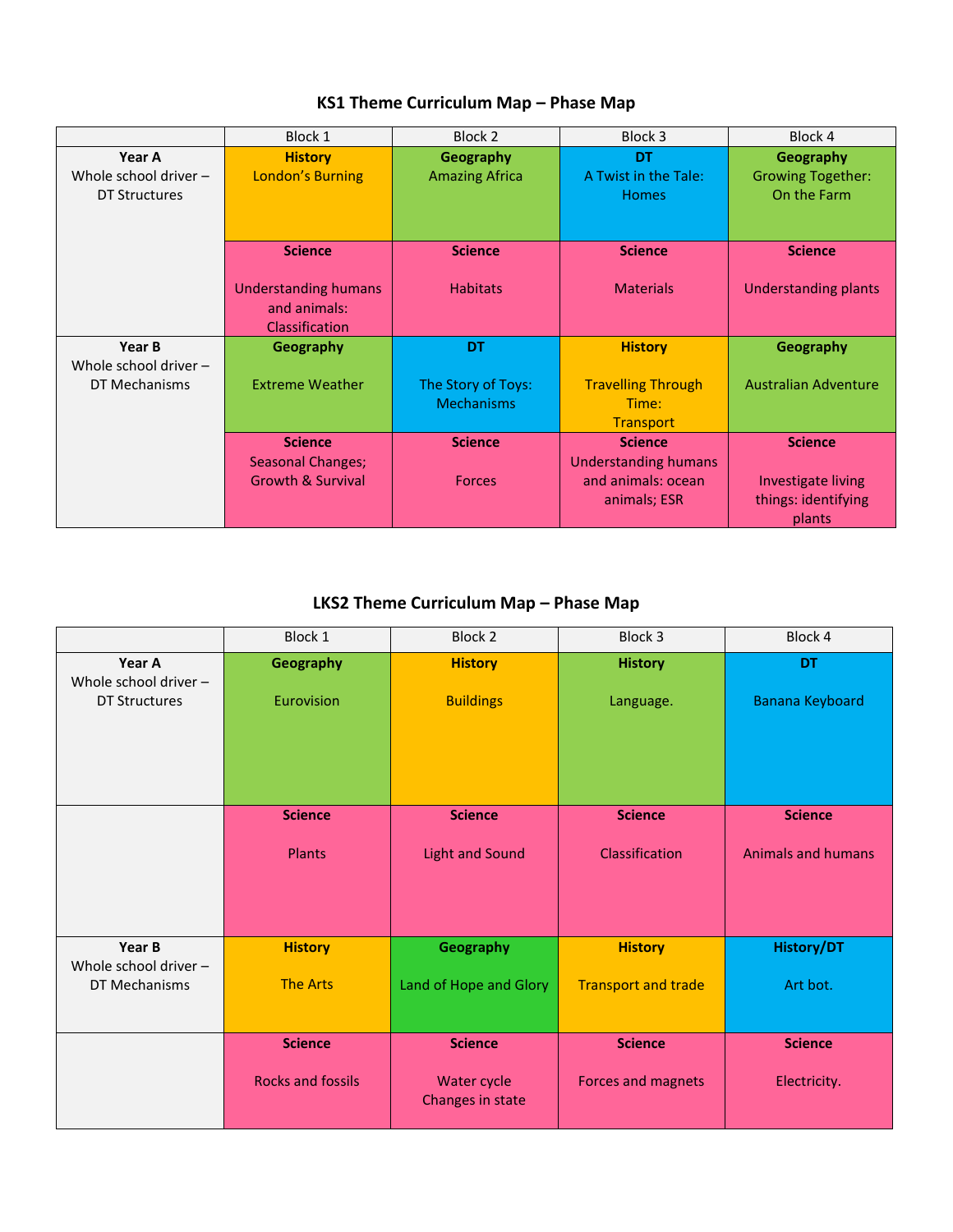|                         | Block 1                              | Block 2                                 | Block 3                     | Block 4                     |
|-------------------------|--------------------------------------|-----------------------------------------|-----------------------------|-----------------------------|
| Year A                  | <b>History</b>                       | Geography                               | <b>DT</b>                   | Geography                   |
| Whole school driver $-$ | <b>London's Burning</b>              | <b>Amazing Africa</b>                   | A Twist in the Tale:        | <b>Growing Together:</b>    |
| <b>DT Structures</b>    |                                      |                                         | <b>Homes</b>                | On the Farm                 |
|                         |                                      |                                         |                             |                             |
|                         |                                      |                                         |                             |                             |
|                         | <b>Science</b>                       | <b>Science</b>                          | <b>Science</b>              | <b>Science</b>              |
|                         |                                      |                                         |                             |                             |
|                         | Understanding humans<br>and animals: | <b>Habitats</b>                         | <b>Materials</b>            | Understanding plants        |
|                         | <b>Classification</b>                |                                         |                             |                             |
|                         |                                      |                                         |                             |                             |
| Year B                  | Geography                            | <b>DT</b>                               | <b>History</b>              | Geography                   |
| Whole school driver $-$ | <b>Extreme Weather</b>               |                                         |                             | <b>Australian Adventure</b> |
| DT Mechanisms           |                                      | The Story of Toys:<br><b>Mechanisms</b> | <b>Travelling Through</b>   |                             |
|                         |                                      |                                         | Time:                       |                             |
|                         |                                      |                                         | <b>Transport</b>            |                             |
|                         | <b>Science</b>                       | <b>Science</b>                          | <b>Science</b>              | <b>Science</b>              |
|                         | <b>Seasonal Changes;</b>             |                                         | <b>Understanding humans</b> |                             |
|                         | <b>Growth &amp; Survival</b>         | <b>Forces</b>                           | and animals: ocean          | Investigate living          |
|                         |                                      |                                         | animals; ESR                | things: identifying         |
|                         |                                      |                                         |                             | plants                      |

## **KS1 Theme Curriculum Map – Phase Map**

# **LKS2 Theme Curriculum Map – Phase Map**

|                                 | Block 1                  | Block 2                | Block 3                    | Block 4                   |
|---------------------------------|--------------------------|------------------------|----------------------------|---------------------------|
| Year A<br>Whole school driver - | Geography                | <b>History</b>         | <b>History</b>             | <b>DT</b>                 |
| <b>DT Structures</b>            | Eurovision               | <b>Buildings</b>       | Language.                  | Banana Keyboard           |
|                                 |                          |                        |                            |                           |
|                                 |                          |                        |                            |                           |
|                                 |                          |                        |                            |                           |
|                                 | <b>Science</b>           | <b>Science</b>         | <b>Science</b>             | <b>Science</b>            |
|                                 |                          |                        |                            |                           |
|                                 | Plants                   | <b>Light and Sound</b> | Classification             | <b>Animals and humans</b> |
|                                 |                          |                        |                            |                           |
|                                 |                          |                        |                            |                           |
| Year B                          | <b>History</b>           | <b>Geography</b>       | <b>History</b>             | <b>History/DT</b>         |
| Whole school driver -           |                          |                        |                            |                           |
| DT Mechanisms                   | <b>The Arts</b>          | Land of Hope and Glory | <b>Transport and trade</b> | Art bot.                  |
|                                 |                          |                        |                            |                           |
|                                 | <b>Science</b>           | <b>Science</b>         | <b>Science</b>             | <b>Science</b>            |
|                                 | <b>Rocks and fossils</b> | Water cycle            | Forces and magnets         | Electricity.              |
|                                 |                          | Changes in state       |                            |                           |
|                                 |                          |                        |                            |                           |